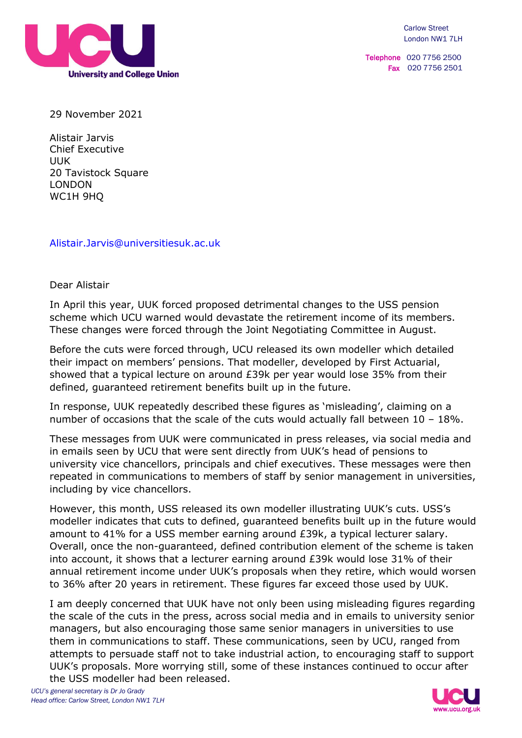

Telephone 020 7756 2500 Fax 020 7756 2501

29 November 2021

Alistair Jarvis Chief Executive UUK 20 Tavistock Square LONDON WC1H 9HQ

[Alistair.Jarvis@universitiesuk.ac.uk](mailto:Alistair.Jarvis@universitiesuk.ac.uk)

Dear Alistair

In April this year, UUK forced proposed detrimental changes to the USS pension scheme which UCU warned would devastate the retirement income of its members. These changes were forced through the Joint Negotiating Committee in August.

Before the cuts were forced through, UCU released its own modeller which detailed their impact on members' pensions. That modeller, developed by First Actuarial, showed that a typical lecture on around £39k per year would lose 35% from their defined, guaranteed retirement benefits built up in the future.

In response, UUK repeatedly described these figures as 'misleading', claiming on a number of occasions that the scale of the cuts would actually fall between  $10 - 18\%$ .

These messages from UUK were communicated in press releases, via social media and in emails seen by UCU that were sent directly from UUK's head of pensions to university vice chancellors, principals and chief executives. These messages were then repeated in communications to members of staff by senior management in universities, including by vice chancellors.

However, this month, USS released its own modeller illustrating UUK's cuts. USS's modeller indicates that cuts to defined, guaranteed benefits built up in the future would amount to 41% for a USS member earning around £39k, a typical lecturer salary. Overall, once the non-guaranteed, defined contribution element of the scheme is taken into account, it shows that a lecturer earning around £39k would lose 31% of their annual retirement income under UUK's proposals when they retire, which would worsen to 36% after 20 years in retirement. These figures far exceed those used by UUK.

I am deeply concerned that UUK have not only been using misleading figures regarding the scale of the cuts in the press, across social media and in emails to university senior managers, but also encouraging those same senior managers in universities to use them in communications to staff. These communications, seen by UCU, ranged from attempts to persuade staff not to take industrial action, to encouraging staff to support UUK's proposals. More worrying still, some of these instances continued to occur after the USS modeller had been released.